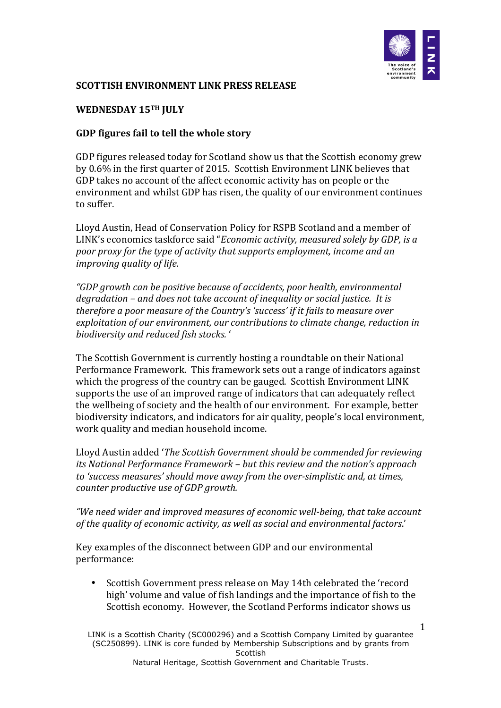

## **SCOTTISH ENVIRONMENT LINK PRESS RELEASE**

## WEDNESDAY 15TH **JULY**

## GDP figures fail to tell the whole story

GDP figures released today for Scotland show us that the Scottish economy grew by 0.6% in the first quarter of 2015. Scottish Environment LINK believes that GDP takes no account of the affect economic activity has on people or the environment and whilst GDP has risen, the quality of our environment continues to suffer. 

Lloyd Austin, Head of Conservation Policy for RSPB Scotland and a member of LINK's economics taskforce said "*Economic activity, measured solely by GDP*, is a *poor proxy for the type of activity that supports employment, income and an improving quality of life.* 

*"GDP growth can be positive because of accidents, poor health, environmental*  degradation – and does not take account of inequality or social justice. It is *therefore a poor measure of the Country's 'success' if it fails to measure over* exploitation of our environment, our contributions to climate change, reduction in *biodiversity and reduced fish stocks.* '

The Scottish Government is currently hosting a roundtable on their National Performance Framework. This framework sets out a range of indicators against which the progress of the country can be gauged. Scottish Environment LINK supports the use of an improved range of indicators that can adequately reflect the wellbeing of society and the health of our environment. For example, better biodiversity indicators, and indicators for air quality, people's local environment, work quality and median household income.

Lloyd Austin added '*The Scottish Government should be commended for reviewing its* National Performance Framework – but this review and the nation's approach to 'success measures' should move away from the over-simplistic and, at times, *counter productive use of GDP growth.* 

"We need wider and improved measures of economic well-being, that take account of the quality of economic activity, as well as social and environmental factors.'

Key examples of the disconnect between GDP and our environmental performance:

• Scottish Government press release on May 14th celebrated the 'record high' volume and value of fish landings and the importance of fish to the Scottish economy. However, the Scotland Performs indicator shows us

LINK is a Scottish Charity (SC000296) and a Scottish Company Limited by guarantee (SC250899). LINK is core funded by Membership Subscriptions and by grants from **Scottish** Natural Heritage, Scottish Government and Charitable Trusts.

1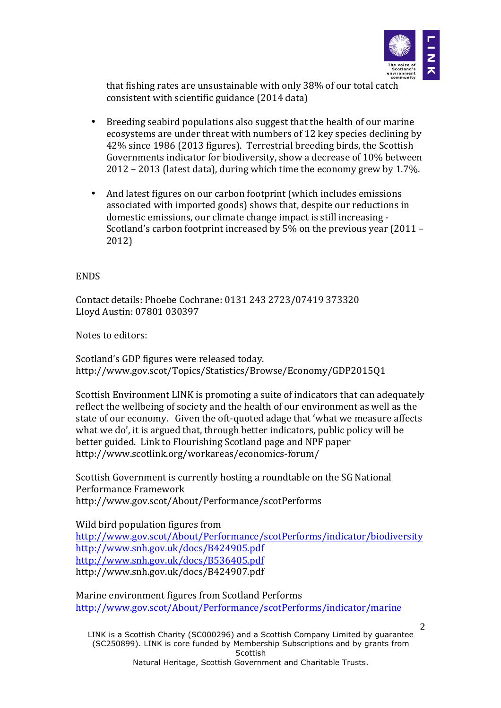

that fishing rates are unsustainable with only 38% of our total catch consistent with scientific guidance (2014 data)

- Breeding seabird populations also suggest that the health of our marine ecosystems are under threat with numbers of 12 key species declining by 42% since 1986 (2013 figures). Terrestrial breeding birds, the Scottish Governments indicator for biodiversity, show a decrease of 10% between  $2012 - 2013$  (latest data), during which time the economy grew by 1.7%.
- And latest figures on our carbon footprint (which includes emissions associated with imported goods) shows that, despite our reductions in domestic emissions, our climate change impact is still increasing -Scotland's carbon footprint increased by  $5\%$  on the previous year (2011 – 2012)

## **ENDS**

Contact details: Phoebe Cochrane: 0131 243 2723/07419 373320 Lloyd Austin: 07801 030397

Notes to editors:

Scotland's GDP figures were released today. http://www.gov.scot/Topics/Statistics/Browse/Economy/GDP2015Q1

Scottish Environment LINK is promoting a suite of indicators that can adequately reflect the wellbeing of society and the health of our environment as well as the state of our economy. Given the oft-quoted adage that 'what we measure affects what we do', it is argued that, through better indicators, public policy will be better guided. Link to Flourishing Scotland page and NPF paper http://www.scotlink.org/workareas/economics-forum/

Scottish Government is currently hosting a roundtable on the SG National Performance Framework http://www.gov.scot/About/Performance/scotPerforms

Wild bird population figures from http://www.gov.scot/About/Performance/scotPerforms/indicator/biodiversity http://www.snh.gov.uk/docs/B424905.pdf http://www.snh.gov.uk/docs/B536405.pdf http://www.snh.gov.uk/docs/B424907.pdf

Marine environment figures from Scotland Performs http://www.gov.scot/About/Performance/scotPerforms/indicator/marine

LINK is a Scottish Charity (SC000296) and a Scottish Company Limited by guarantee (SC250899). LINK is core funded by Membership Subscriptions and by grants from **Scottish** Natural Heritage, Scottish Government and Charitable Trusts.

2